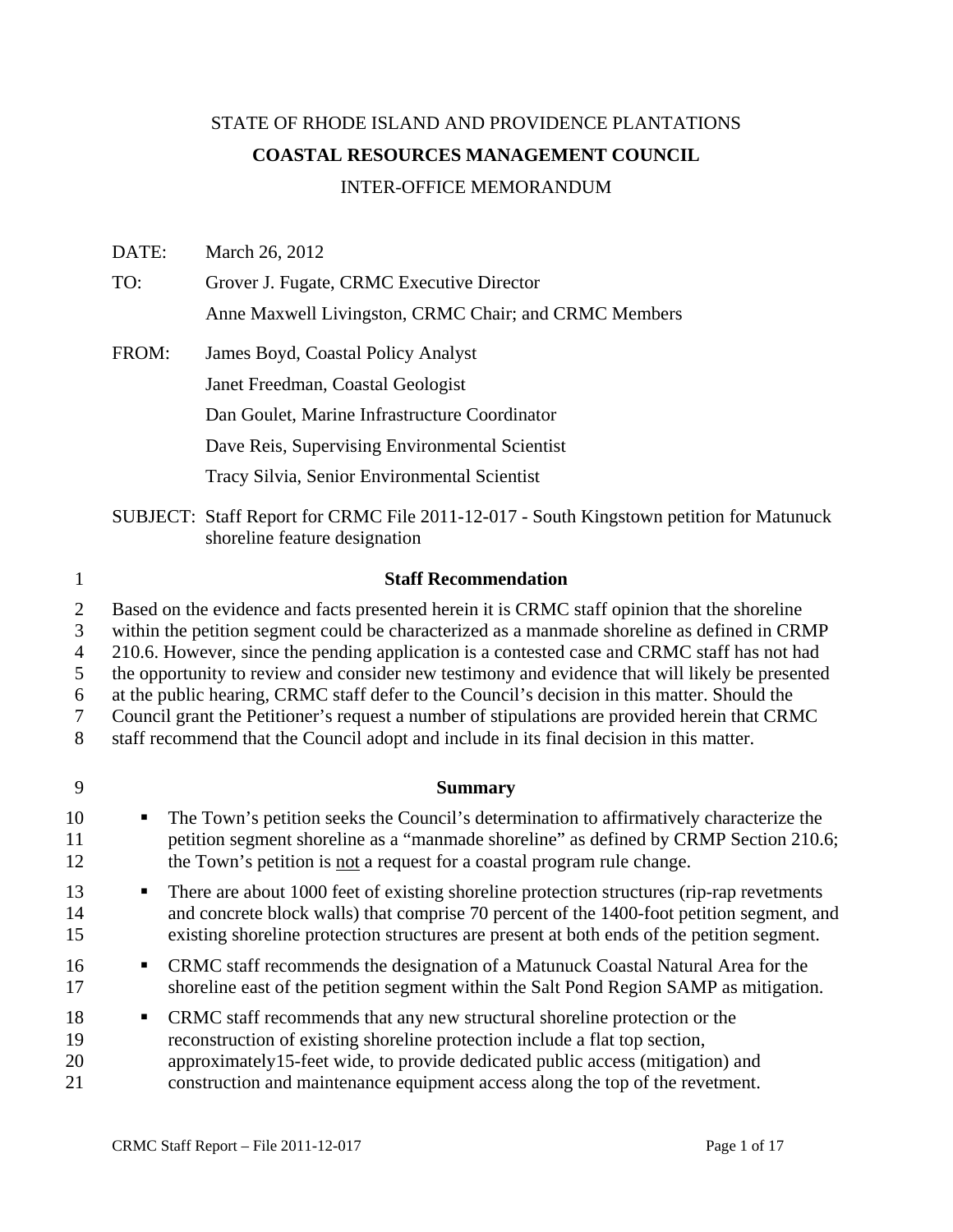# STATE OF RHODE ISLAND AND PROVIDENCE PLANTATIONS **COASTAL RESOURCES MANAGEMENT COUNCIL**  INTER-OFFICE MEMORANDUM

DATE: March 26, 2012 TO: Grover J. Fugate, CRMC Executive Director Anne Maxwell Livingston, CRMC Chair; and CRMC Members FROM: James Boyd, Coastal Policy Analyst Janet Freedman, Coastal Geologist Dan Goulet, Marine Infrastructure Coordinator Dave Reis, Supervising Environmental Scientist Tracy Silvia, Senior Environmental Scientist

SUBJECT: Staff Report for CRMC File 2011-12-017 - South Kingstown petition for Matunuck shoreline feature designation

#### 1 **Staff Recommendation**

2 Based on the evidence and facts presented herein it is CRMC staff opinion that the shoreline

3 within the petition segment could be characterized as a manmade shoreline as defined in CRMP

4 210.6. However, since the pending application is a contested case and CRMC staff has not had

5 the opportunity to review and consider new testimony and evidence that will likely be presented

6 at the public hearing, CRMC staff defer to the Council's decision in this matter. Should the

7 Council grant the Petitioner's request a number of stipulations are provided herein that CRMC

8 staff recommend that the Council adopt and include in its final decision in this matter.

#### 9 **Summary**

- 10 The Town's petition seeks the Council's determination to affirmatively characterize the 11 petition segment shoreline as a "manmade shoreline" as defined by CRMP Section 210.6; 12 the Town's petition is not a request for a coastal program rule change.
- 13 **There are about 1000 feet of existing shoreline protection structures (rip-rap revetments** 14 and concrete block walls) that comprise 70 percent of the 1400-foot petition segment, and 15 existing shoreline protection structures are present at both ends of the petition segment.
- 16 **CRMC** staff recommends the designation of a Matunuck Coastal Natural Area for the 17 shoreline east of the petition segment within the Salt Pond Region SAMP as mitigation.
- 18 CRMC staff recommends that any new structural shoreline protection or the
- 19 reconstruction of existing shoreline protection include a flat top section,
- 20 approximately15-feet wide, to provide dedicated public access (mitigation) and
- 21 construction and maintenance equipment access along the top of the revetment.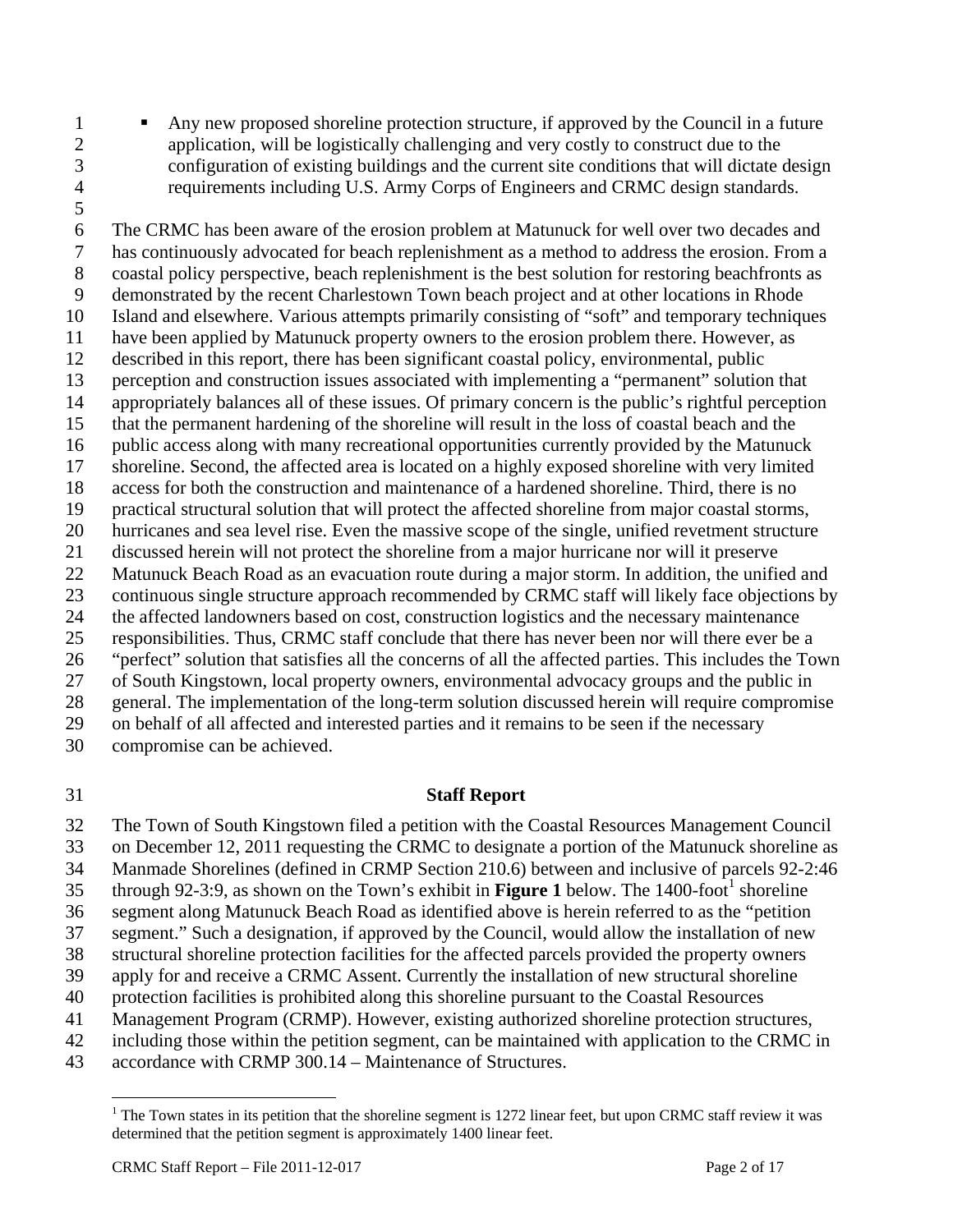- 1 Any new proposed shoreline protection structure, if approved by the Council in a future 2 application, will be logistically challenging and very costly to construct due to the 3 configuration of existing buildings and the current site conditions that will dictate design 4 requirements including U.S. Army Corps of Engineers and CRMC design standards.
- 5

6 The CRMC has been aware of the erosion problem at Matunuck for well over two decades and 7 has continuously advocated for beach replenishment as a method to address the erosion. From a 8 coastal policy perspective, beach replenishment is the best solution for restoring beachfronts as 9 demonstrated by the recent Charlestown Town beach project and at other locations in Rhode 10 Island and elsewhere. Various attempts primarily consisting of "soft" and temporary techniques 11 have been applied by Matunuck property owners to the erosion problem there. However, as 12 described in this report, there has been significant coastal policy, environmental, public 13 perception and construction issues associated with implementing a "permanent" solution that 14 appropriately balances all of these issues. Of primary concern is the public's rightful perception 15 that the permanent hardening of the shoreline will result in the loss of coastal beach and the 16 public access along with many recreational opportunities currently provided by the Matunuck 17 shoreline. Second, the affected area is located on a highly exposed shoreline with very limited 18 access for both the construction and maintenance of a hardened shoreline. Third, there is no 19 practical structural solution that will protect the affected shoreline from major coastal storms, 20 hurricanes and sea level rise. Even the massive scope of the single, unified revetment structure 21 discussed herein will not protect the shoreline from a major hurricane nor will it preserve 22 Matunuck Beach Road as an evacuation route during a major storm. In addition, the unified and 23 continuous single structure approach recommended by CRMC staff will likely face objections by 24 the affected landowners based on cost, construction logistics and the necessary maintenance 25 responsibilities. Thus, CRMC staff conclude that there has never been nor will there ever be a 26 "perfect" solution that satisfies all the concerns of all the affected parties. This includes the Town 27 of South Kingstown, local property owners, environmental advocacy groups and the public in 28 general. The implementation of the long-term solution discussed herein will require compromise 29 on behalf of all affected and interested parties and it remains to be seen if the necessary 30 compromise can be achieved.

# 31 **Staff Report**

32 The Town of South Kingstown filed a petition with the Coastal Resources Management Council 33 on December 12, 2011 requesting the CRMC to designate a portion of the Matunuck shoreline as

- 34 Manmade Shorelines (defined in CRMP Section 210.6) between and inclusive of parcels 92-2:46
- through 92-3:9, as shown on the Town's exhibit in **Figure 1** below. The 1400-foot<sup>1</sup> shoreline
- 36 segment along Matunuck Beach Road as identified above is herein referred to as the "petition
- 37 segment." Such a designation, if approved by the Council, would allow the installation of new
- 38 structural shoreline protection facilities for the affected parcels provided the property owners 39 apply for and receive a CRMC Assent. Currently the installation of new structural shoreline
- 40 protection facilities is prohibited along this shoreline pursuant to the Coastal Resources
- 41 Management Program (CRMP). However, existing authorized shoreline protection structures,
- 42 including those within the petition segment, can be maintained with application to the CRMC in
- 43 accordance with CRMP 300.14 Maintenance of Structures.

 $\overline{a}$ <sup>1</sup> The Town states in its petition that the shoreline segment is 1272 linear feet, but upon CRMC staff review it was determined that the petition segment is approximately 1400 linear feet.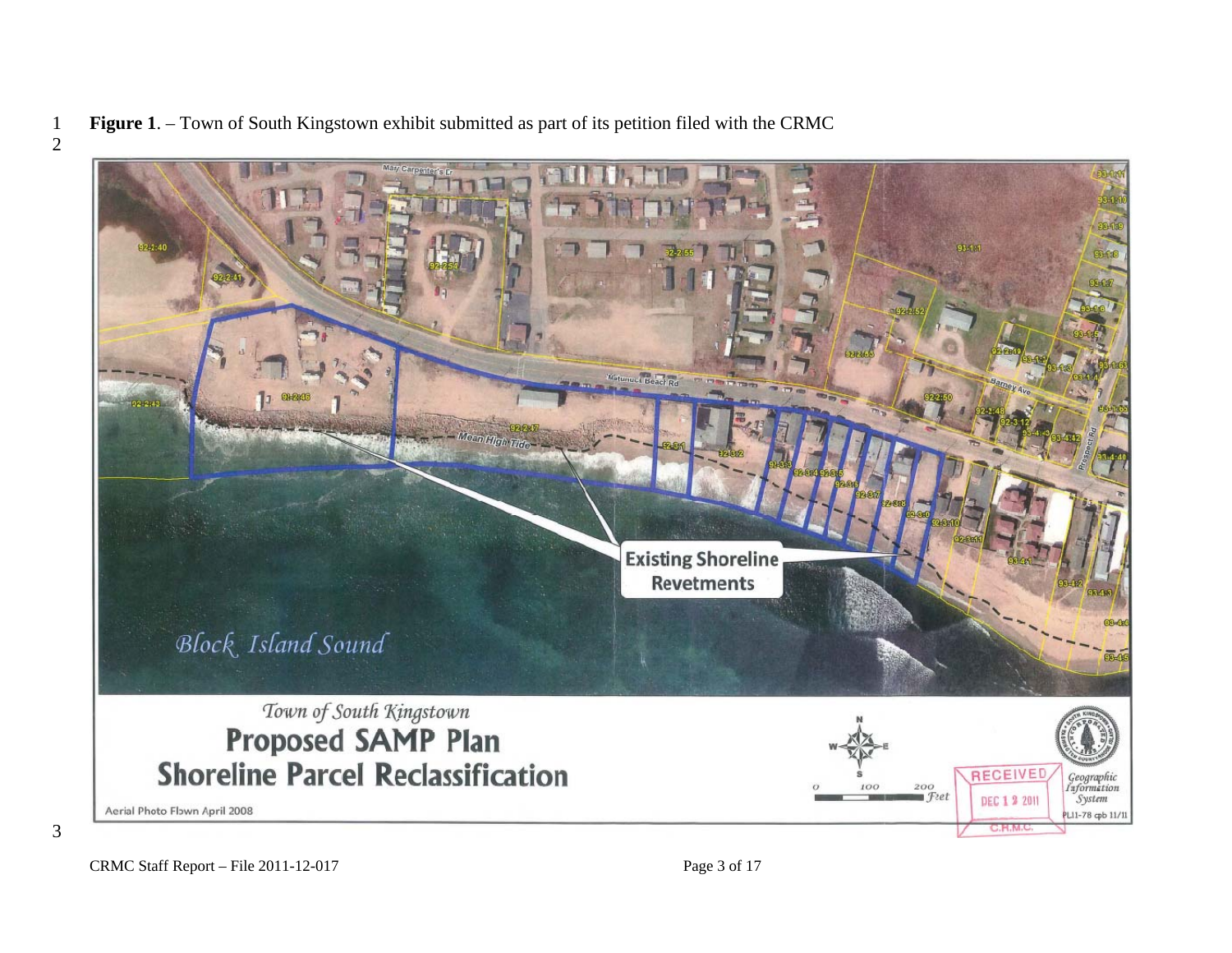**Figure 1**. – Town of South Kingstown exhibit submitted as part of its petition filed with the CRMC 



CRMC Staff Report – File 2011-12-017 Page 3 of 17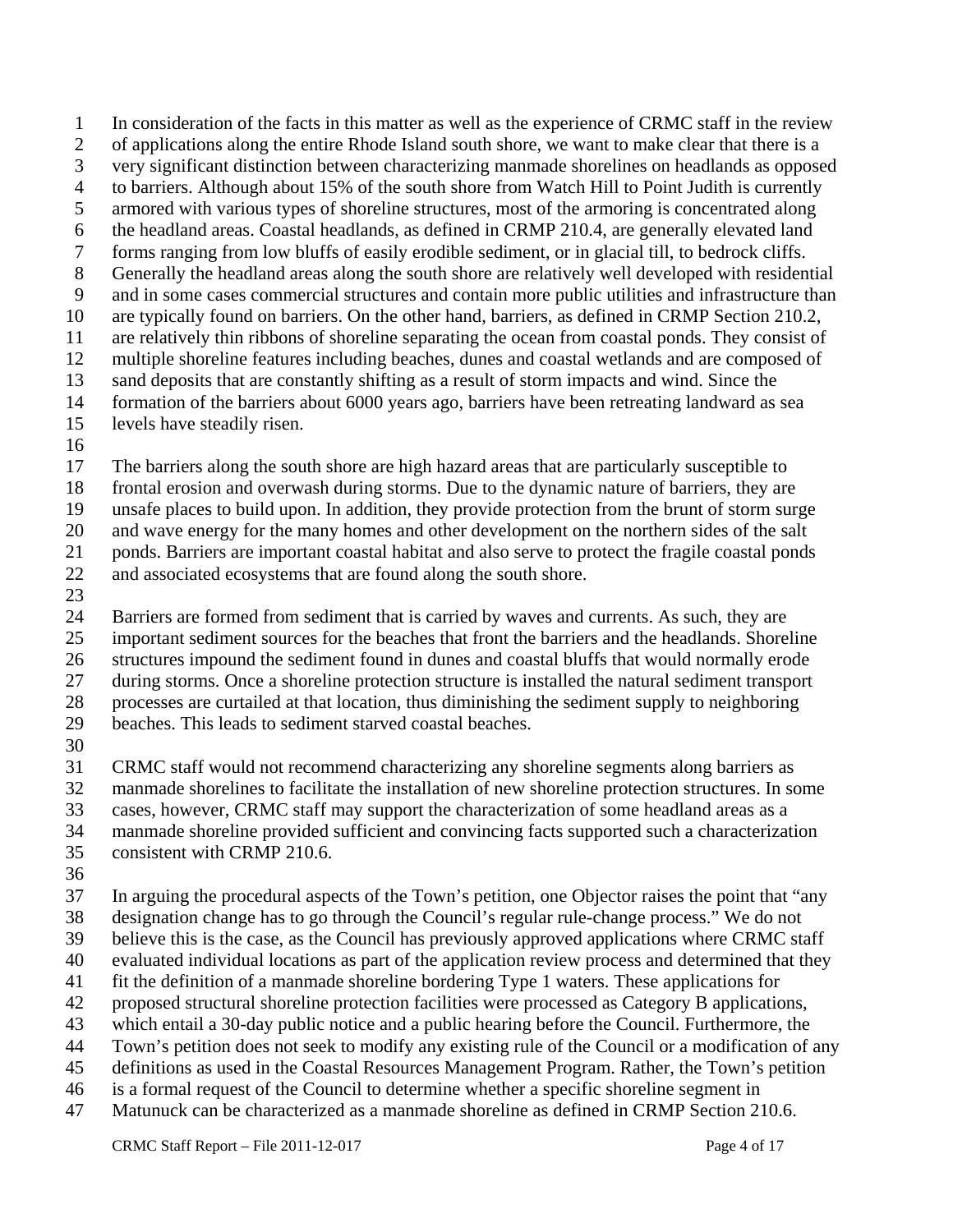1 In consideration of the facts in this matter as well as the experience of CRMC staff in the review 2 of applications along the entire Rhode Island south shore, we want to make clear that there is a 3 very significant distinction between characterizing manmade shorelines on headlands as opposed 4 to barriers. Although about 15% of the south shore from Watch Hill to Point Judith is currently 5 armored with various types of shoreline structures, most of the armoring is concentrated along 6 the headland areas. Coastal headlands, as defined in CRMP 210.4, are generally elevated land 7 forms ranging from low bluffs of easily erodible sediment, or in glacial till, to bedrock cliffs. 8 Generally the headland areas along the south shore are relatively well developed with residential 9 and in some cases commercial structures and contain more public utilities and infrastructure than 10 are typically found on barriers. On the other hand, barriers, as defined in CRMP Section 210.2, 11 are relatively thin ribbons of shoreline separating the ocean from coastal ponds. They consist of 12 multiple shoreline features including beaches, dunes and coastal wetlands and are composed of 13 sand deposits that are constantly shifting as a result of storm impacts and wind. Since the 14 formation of the barriers about 6000 years ago, barriers have been retreating landward as sea

- 15 levels have steadily risen.
- 16

17 The barriers along the south shore are high hazard areas that are particularly susceptible to

18 frontal erosion and overwash during storms. Due to the dynamic nature of barriers, they are

19 unsafe places to build upon. In addition, they provide protection from the brunt of storm surge

20 and wave energy for the many homes and other development on the northern sides of the salt

21 ponds. Barriers are important coastal habitat and also serve to protect the fragile coastal ponds

- 22 and associated ecosystems that are found along the south shore.
- 23

24 Barriers are formed from sediment that is carried by waves and currents. As such, they are 25 important sediment sources for the beaches that front the barriers and the headlands. Shoreline

26 structures impound the sediment found in dunes and coastal bluffs that would normally erode 27 during storms. Once a shoreline protection structure is installed the natural sediment transport

28 processes are curtailed at that location, thus diminishing the sediment supply to neighboring

29 beaches. This leads to sediment starved coastal beaches.

30

31 CRMC staff would not recommend characterizing any shoreline segments along barriers as

32 manmade shorelines to facilitate the installation of new shoreline protection structures. In some

33 cases, however, CRMC staff may support the characterization of some headland areas as a

34 manmade shoreline provided sufficient and convincing facts supported such a characterization

35 consistent with CRMP 210.6.

36

37 In arguing the procedural aspects of the Town's petition, one Objector raises the point that "any 38 designation change has to go through the Council's regular rule-change process." We do not

39 believe this is the case, as the Council has previously approved applications where CRMC staff

40 evaluated individual locations as part of the application review process and determined that they

41 fit the definition of a manmade shoreline bordering Type 1 waters. These applications for

- 42 proposed structural shoreline protection facilities were processed as Category B applications,
- 43 which entail a 30-day public notice and a public hearing before the Council. Furthermore, the
- 44 Town's petition does not seek to modify any existing rule of the Council or a modification of any
- 45 definitions as used in the Coastal Resources Management Program. Rather, the Town's petition
- 46 is a formal request of the Council to determine whether a specific shoreline segment in
- 47 Matunuck can be characterized as a manmade shoreline as defined in CRMP Section 210.6.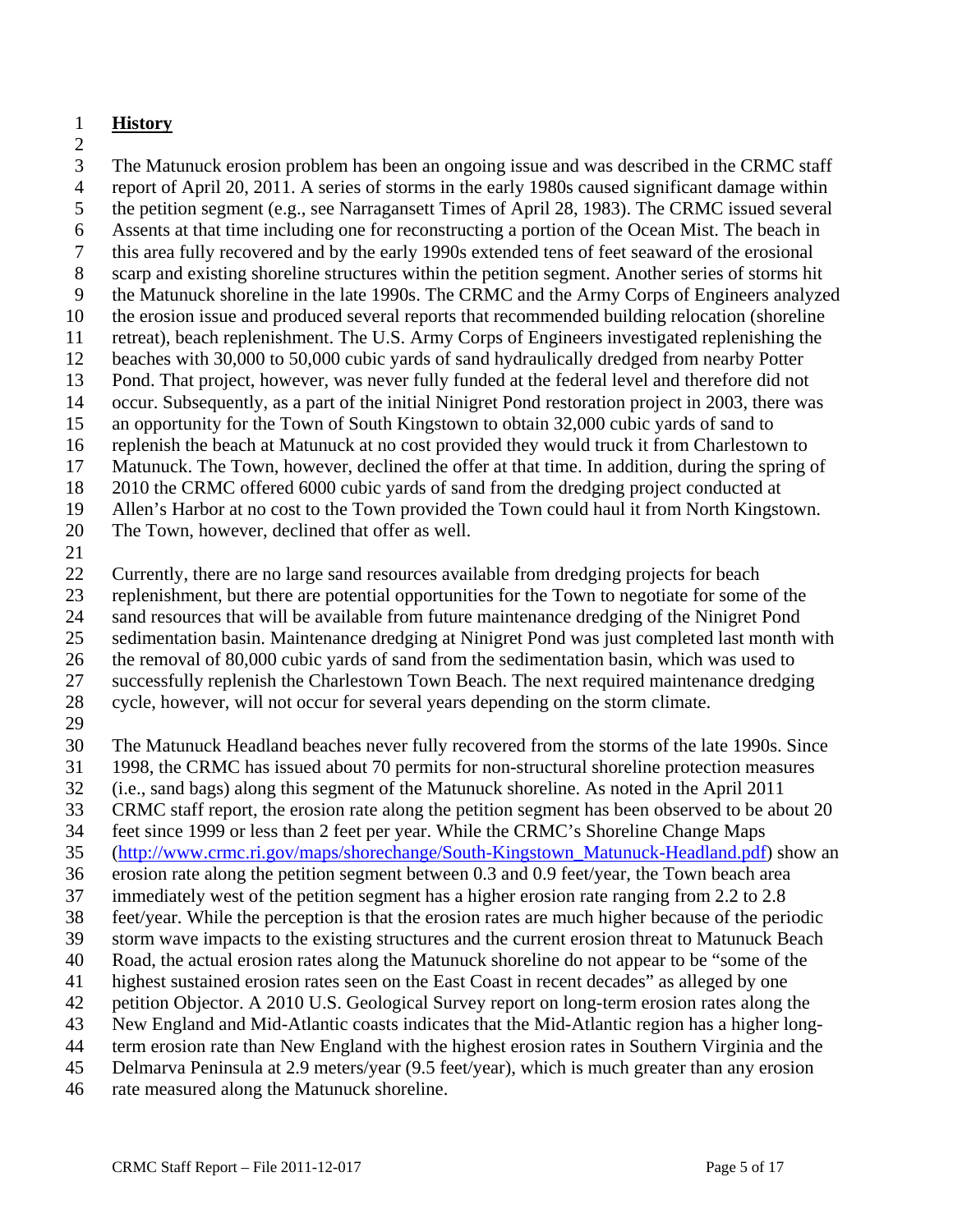# 1 **History**

2

3 The Matunuck erosion problem has been an ongoing issue and was described in the CRMC staff 4 report of April 20, 2011. A series of storms in the early 1980s caused significant damage within 5 the petition segment (e.g., see Narragansett Times of April 28, 1983). The CRMC issued several 6 Assents at that time including one for reconstructing a portion of the Ocean Mist. The beach in 7 this area fully recovered and by the early 1990s extended tens of feet seaward of the erosional 8 scarp and existing shoreline structures within the petition segment. Another series of storms hit 9 the Matunuck shoreline in the late 1990s. The CRMC and the Army Corps of Engineers analyzed 10 the erosion issue and produced several reports that recommended building relocation (shoreline 11 retreat), beach replenishment. The U.S. Army Corps of Engineers investigated replenishing the 12 beaches with 30,000 to 50,000 cubic yards of sand hydraulically dredged from nearby Potter 13 Pond. That project, however, was never fully funded at the federal level and therefore did not 14 occur. Subsequently, as a part of the initial Ninigret Pond restoration project in 2003, there was 15 an opportunity for the Town of South Kingstown to obtain 32,000 cubic yards of sand to 16 replenish the beach at Matunuck at no cost provided they would truck it from Charlestown to 17 Matunuck. The Town, however, declined the offer at that time. In addition, during the spring of 18 2010 the CRMC offered 6000 cubic yards of sand from the dredging project conducted at 19 Allen's Harbor at no cost to the Town provided the Town could haul it from North Kingstown.

- 20 The Town, however, declined that offer as well.
- 21

22 Currently, there are no large sand resources available from dredging projects for beach

23 replenishment, but there are potential opportunities for the Town to negotiate for some of the

24 sand resources that will be available from future maintenance dredging of the Ninigret Pond

25 sedimentation basin. Maintenance dredging at Ninigret Pond was just completed last month with

26 the removal of 80,000 cubic yards of sand from the sedimentation basin, which was used to

27 successfully replenish the Charlestown Town Beach. The next required maintenance dredging

28 cycle, however, will not occur for several years depending on the storm climate.

29

30 The Matunuck Headland beaches never fully recovered from the storms of the late 1990s. Since

31 1998, the CRMC has issued about 70 permits for non-structural shoreline protection measures

32 (i.e., sand bags) along this segment of the Matunuck shoreline. As noted in the April 2011

33 CRMC staff report, the erosion rate along the petition segment has been observed to be about 20

34 feet since 1999 or less than 2 feet per year. While the CRMC's Shoreline Change Maps

35 (http://www.crmc.ri.gov/maps/shorechange/South-Kingstown\_Matunuck-Headland.pdf) show an

36 erosion rate along the petition segment between 0.3 and 0.9 feet/year, the Town beach area

37 immediately west of the petition segment has a higher erosion rate ranging from 2.2 to 2.8

38 feet/year. While the perception is that the erosion rates are much higher because of the periodic

- 39 storm wave impacts to the existing structures and the current erosion threat to Matunuck Beach
- 40 Road, the actual erosion rates along the Matunuck shoreline do not appear to be "some of the
- 41 highest sustained erosion rates seen on the East Coast in recent decades" as alleged by one
- 42 petition Objector. A 2010 U.S. Geological Survey report on long-term erosion rates along the
- 43 New England and Mid-Atlantic coasts indicates that the Mid-Atlantic region has a higher long-
- 44 term erosion rate than New England with the highest erosion rates in Southern Virginia and the
- 45 Delmarva Peninsula at 2.9 meters/year (9.5 feet/year), which is much greater than any erosion
- 46 rate measured along the Matunuck shoreline.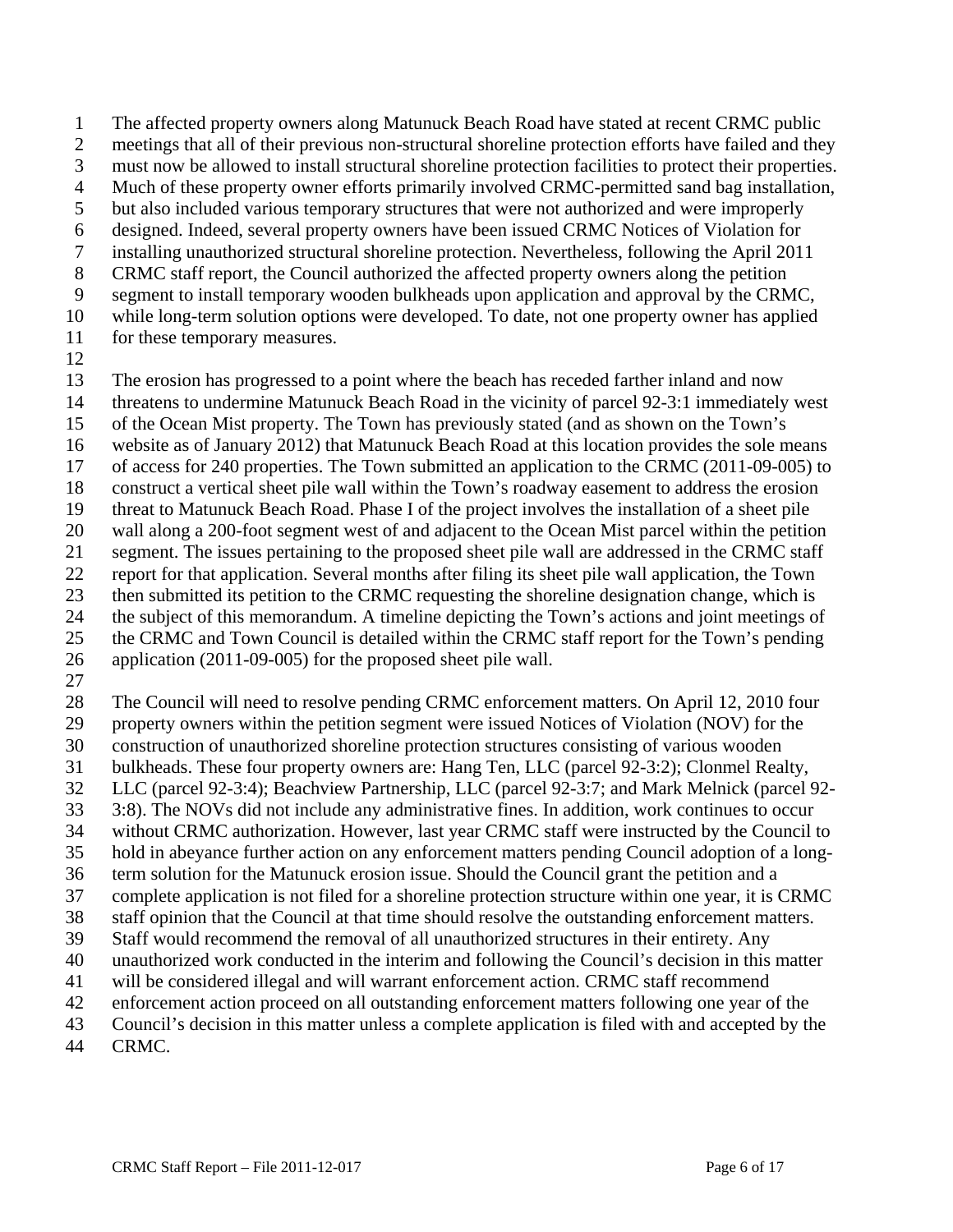1 The affected property owners along Matunuck Beach Road have stated at recent CRMC public 2 meetings that all of their previous non-structural shoreline protection efforts have failed and they 3 must now be allowed to install structural shoreline protection facilities to protect their properties. 4 Much of these property owner efforts primarily involved CRMC-permitted sand bag installation, 5 but also included various temporary structures that were not authorized and were improperly 6 designed. Indeed, several property owners have been issued CRMC Notices of Violation for 7 installing unauthorized structural shoreline protection. Nevertheless, following the April 2011 8 CRMC staff report, the Council authorized the affected property owners along the petition 9 segment to install temporary wooden bulkheads upon application and approval by the CRMC, 10 while long-term solution options were developed. To date, not one property owner has applied

- 11 for these temporary measures.
- 12

13 The erosion has progressed to a point where the beach has receded farther inland and now

- 14 threatens to undermine Matunuck Beach Road in the vicinity of parcel 92-3:1 immediately west
- 15 of the Ocean Mist property. The Town has previously stated (and as shown on the Town's
- 16 website as of January 2012) that Matunuck Beach Road at this location provides the sole means
- 17 of access for 240 properties. The Town submitted an application to the CRMC (2011-09-005) to
- 18 construct a vertical sheet pile wall within the Town's roadway easement to address the erosion
- 19 threat to Matunuck Beach Road. Phase I of the project involves the installation of a sheet pile
- 20 wall along a 200-foot segment west of and adjacent to the Ocean Mist parcel within the petition
- 21 segment. The issues pertaining to the proposed sheet pile wall are addressed in the CRMC staff
- 22 report for that application. Several months after filing its sheet pile wall application, the Town
- 23 then submitted its petition to the CRMC requesting the shoreline designation change, which is 24 the subject of this memorandum. A timeline depicting the Town's actions and joint meetings of
- 25 the CRMC and Town Council is detailed within the CRMC staff report for the Town's pending
- 26 application (2011-09-005) for the proposed sheet pile wall.
- 27

28 The Council will need to resolve pending CRMC enforcement matters. On April 12, 2010 four

- 29 property owners within the petition segment were issued Notices of Violation (NOV) for the
- 30 construction of unauthorized shoreline protection structures consisting of various wooden
- 31 bulkheads. These four property owners are: Hang Ten, LLC (parcel 92-3:2); Clonmel Realty,
- 32 LLC (parcel 92-3:4); Beachview Partnership, LLC (parcel 92-3:7; and Mark Melnick (parcel 92-
- 33 3:8). The NOVs did not include any administrative fines. In addition, work continues to occur
- 34 without CRMC authorization. However, last year CRMC staff were instructed by the Council to
- 35 hold in abeyance further action on any enforcement matters pending Council adoption of a long-
- 36 term solution for the Matunuck erosion issue. Should the Council grant the petition and a
- 37 complete application is not filed for a shoreline protection structure within one year, it is CRMC
- 38 staff opinion that the Council at that time should resolve the outstanding enforcement matters.
- 39 Staff would recommend the removal of all unauthorized structures in their entirety. Any 40 unauthorized work conducted in the interim and following the Council's decision in this matter
- 41 will be considered illegal and will warrant enforcement action. CRMC staff recommend
- 42 enforcement action proceed on all outstanding enforcement matters following one year of the
- 43 Council's decision in this matter unless a complete application is filed with and accepted by the
- 44 CRMC.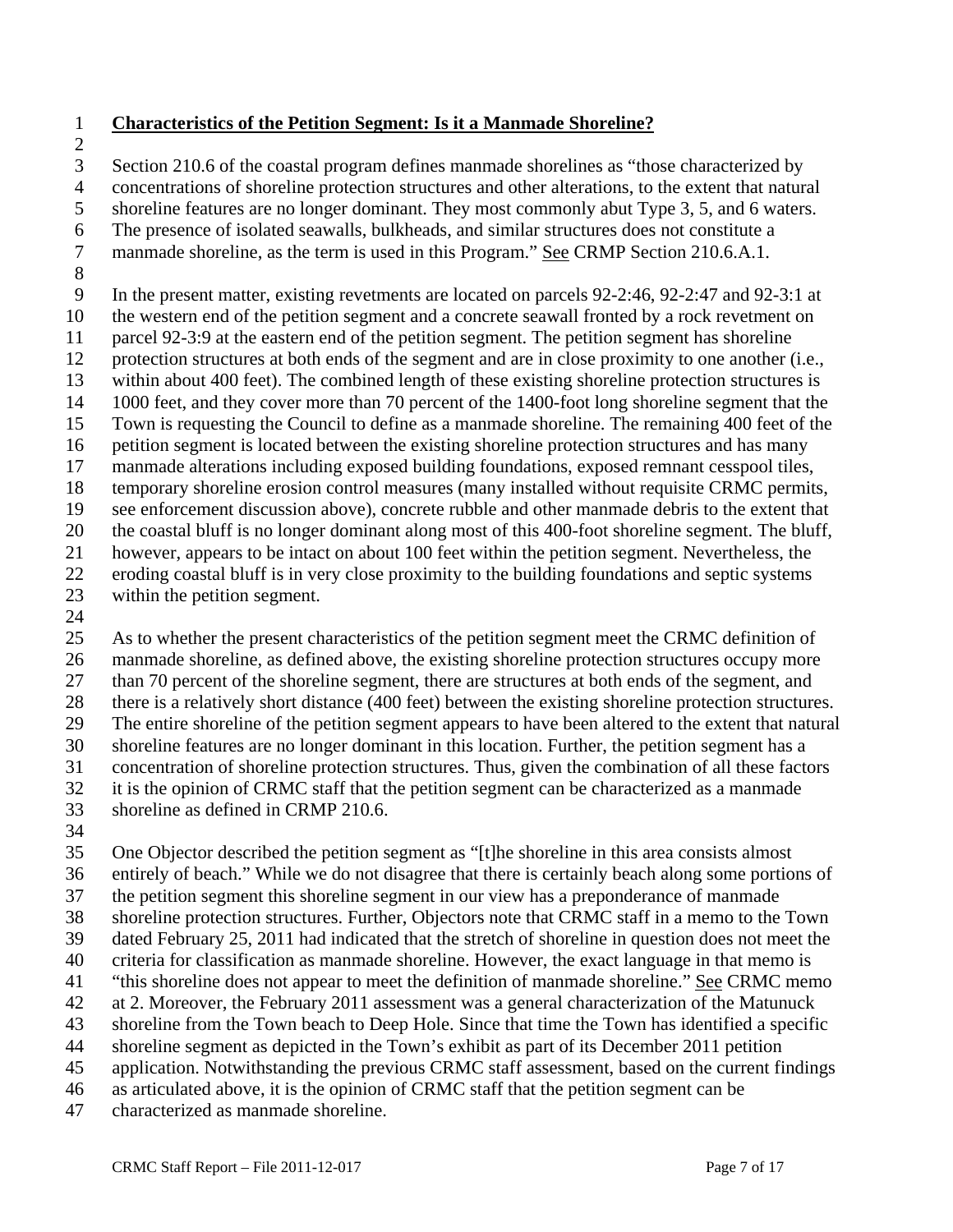#### 1 **Characteristics of the Petition Segment: Is it a Manmade Shoreline?**

2

3 Section 210.6 of the coastal program defines manmade shorelines as "those characterized by

4 concentrations of shoreline protection structures and other alterations, to the extent that natural

5 shoreline features are no longer dominant. They most commonly abut Type 3, 5, and 6 waters.

6 The presence of isolated seawalls, bulkheads, and similar structures does not constitute a

7 manmade shoreline, as the term is used in this Program." See CRMP Section 210.6.A.1.

8

9 In the present matter, existing revetments are located on parcels 92-2:46, 92-2:47 and 92-3:1 at

10 the western end of the petition segment and a concrete seawall fronted by a rock revetment on

11 parcel 92-3:9 at the eastern end of the petition segment. The petition segment has shoreline

12 protection structures at both ends of the segment and are in close proximity to one another (i.e., 13 within about 400 feet). The combined length of these existing shoreline protection structures is

14 1000 feet, and they cover more than 70 percent of the 1400-foot long shoreline segment that the

15 Town is requesting the Council to define as a manmade shoreline. The remaining 400 feet of the

16 petition segment is located between the existing shoreline protection structures and has many

17 manmade alterations including exposed building foundations, exposed remnant cesspool tiles,

18 temporary shoreline erosion control measures (many installed without requisite CRMC permits,

19 see enforcement discussion above), concrete rubble and other manmade debris to the extent that

20 the coastal bluff is no longer dominant along most of this 400-foot shoreline segment. The bluff,

21 however, appears to be intact on about 100 feet within the petition segment. Nevertheless, the

- 22 eroding coastal bluff is in very close proximity to the building foundations and septic systems
- 23 within the petition segment.
- 24

25 As to whether the present characteristics of the petition segment meet the CRMC definition of 26 manmade shoreline, as defined above, the existing shoreline protection structures occupy more 27 than 70 percent of the shoreline segment, there are structures at both ends of the segment, and 28 there is a relatively short distance (400 feet) between the existing shoreline protection structures. 29 The entire shoreline of the petition segment appears to have been altered to the extent that natural 30 shoreline features are no longer dominant in this location. Further, the petition segment has a 31 concentration of shoreline protection structures. Thus, given the combination of all these factors 32 it is the opinion of CRMC staff that the petition segment can be characterized as a manmade 33 shoreline as defined in CRMP 210.6.

34

35 One Objector described the petition segment as "[t]he shoreline in this area consists almost 36 entirely of beach." While we do not disagree that there is certainly beach along some portions of 37 the petition segment this shoreline segment in our view has a preponderance of manmade 38 shoreline protection structures. Further, Objectors note that CRMC staff in a memo to the Town 39 dated February 25, 2011 had indicated that the stretch of shoreline in question does not meet the 40 criteria for classification as manmade shoreline. However, the exact language in that memo is 41 "this shoreline does not appear to meet the definition of manmade shoreline." See CRMC memo 42 at 2. Moreover, the February 2011 assessment was a general characterization of the Matunuck 43 shoreline from the Town beach to Deep Hole. Since that time the Town has identified a specific 44 shoreline segment as depicted in the Town's exhibit as part of its December 2011 petition 45 application. Notwithstanding the previous CRMC staff assessment, based on the current findings 46 as articulated above, it is the opinion of CRMC staff that the petition segment can be

47 characterized as manmade shoreline.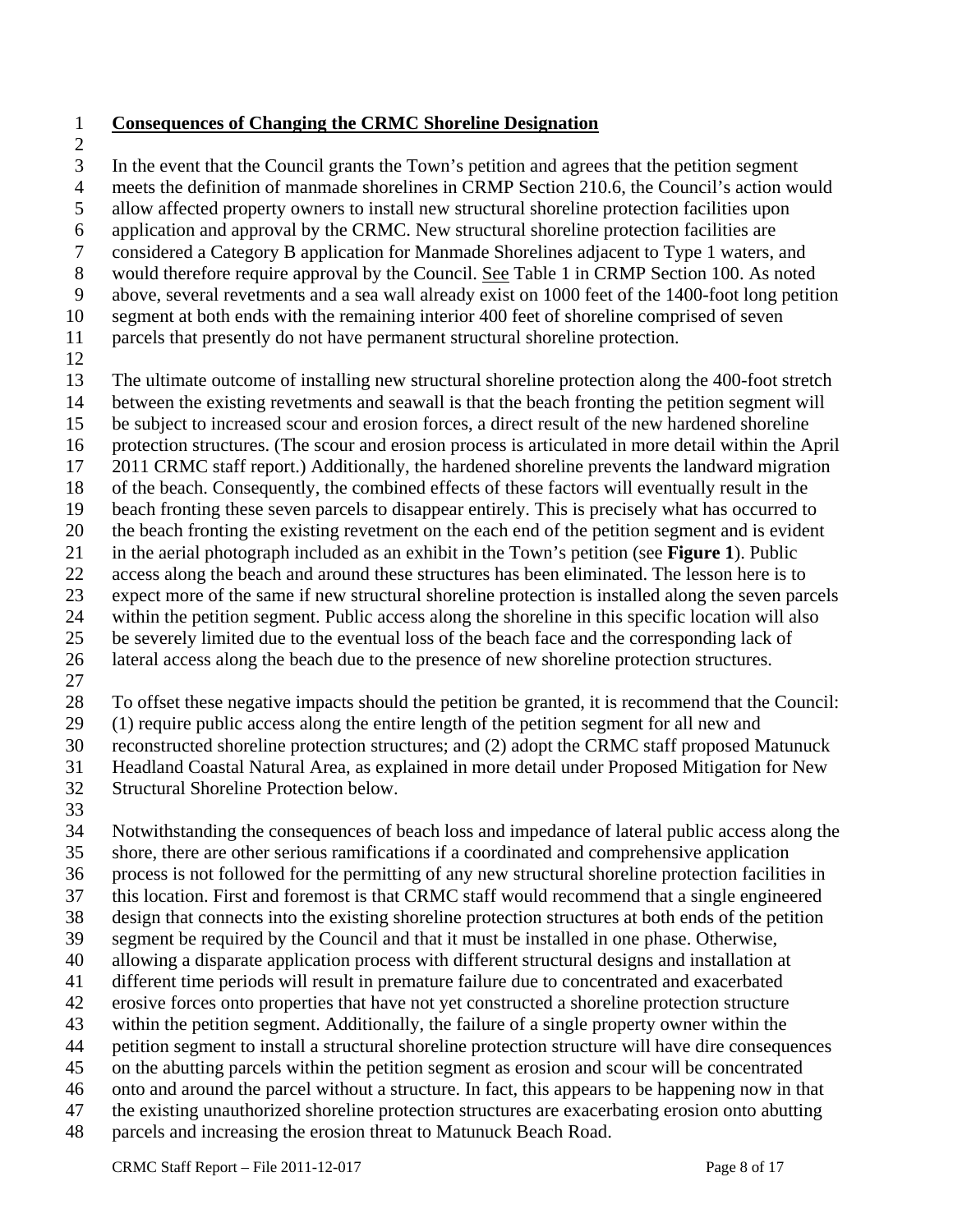- 1 **Consequences of Changing the CRMC Shoreline Designation**
- 2

3 In the event that the Council grants the Town's petition and agrees that the petition segment

4 meets the definition of manmade shorelines in CRMP Section 210.6, the Council's action would

5 allow affected property owners to install new structural shoreline protection facilities upon

6 application and approval by the CRMC. New structural shoreline protection facilities are

7 considered a Category B application for Manmade Shorelines adjacent to Type 1 waters, and

8 would therefore require approval by the Council. See Table 1 in CRMP Section 100. As noted

9 above, several revetments and a sea wall already exist on 1000 feet of the 1400-foot long petition

10 segment at both ends with the remaining interior 400 feet of shoreline comprised of seven

11 parcels that presently do not have permanent structural shoreline protection.

12

13 The ultimate outcome of installing new structural shoreline protection along the 400-foot stretch

14 between the existing revetments and seawall is that the beach fronting the petition segment will

15 be subject to increased scour and erosion forces, a direct result of the new hardened shoreline

16 protection structures. (The scour and erosion process is articulated in more detail within the April

17 2011 CRMC staff report.) Additionally, the hardened shoreline prevents the landward migration

18 of the beach. Consequently, the combined effects of these factors will eventually result in the

19 beach fronting these seven parcels to disappear entirely. This is precisely what has occurred to

20 the beach fronting the existing revetment on the each end of the petition segment and is evident

21 in the aerial photograph included as an exhibit in the Town's petition (see **Figure 1**). Public

22 access along the beach and around these structures has been eliminated. The lesson here is to

23 expect more of the same if new structural shoreline protection is installed along the seven parcels

24 within the petition segment. Public access along the shoreline in this specific location will also

25 be severely limited due to the eventual loss of the beach face and the corresponding lack of 26 lateral access along the beach due to the presence of new shoreline protection structures.

27

28 To offset these negative impacts should the petition be granted, it is recommend that the Council:

29 (1) require public access along the entire length of the petition segment for all new and

30 reconstructed shoreline protection structures; and (2) adopt the CRMC staff proposed Matunuck

31 Headland Coastal Natural Area, as explained in more detail under Proposed Mitigation for New 32 Structural Shoreline Protection below.

33

34 Notwithstanding the consequences of beach loss and impedance of lateral public access along the 35 shore, there are other serious ramifications if a coordinated and comprehensive application 36 process is not followed for the permitting of any new structural shoreline protection facilities in 37 this location. First and foremost is that CRMC staff would recommend that a single engineered 38 design that connects into the existing shoreline protection structures at both ends of the petition 39 segment be required by the Council and that it must be installed in one phase. Otherwise, 40 allowing a disparate application process with different structural designs and installation at 41 different time periods will result in premature failure due to concentrated and exacerbated 42 erosive forces onto properties that have not yet constructed a shoreline protection structure 43 within the petition segment. Additionally, the failure of a single property owner within the 44 petition segment to install a structural shoreline protection structure will have dire consequences 45 on the abutting parcels within the petition segment as erosion and scour will be concentrated 46 onto and around the parcel without a structure. In fact, this appears to be happening now in that

47 the existing unauthorized shoreline protection structures are exacerbating erosion onto abutting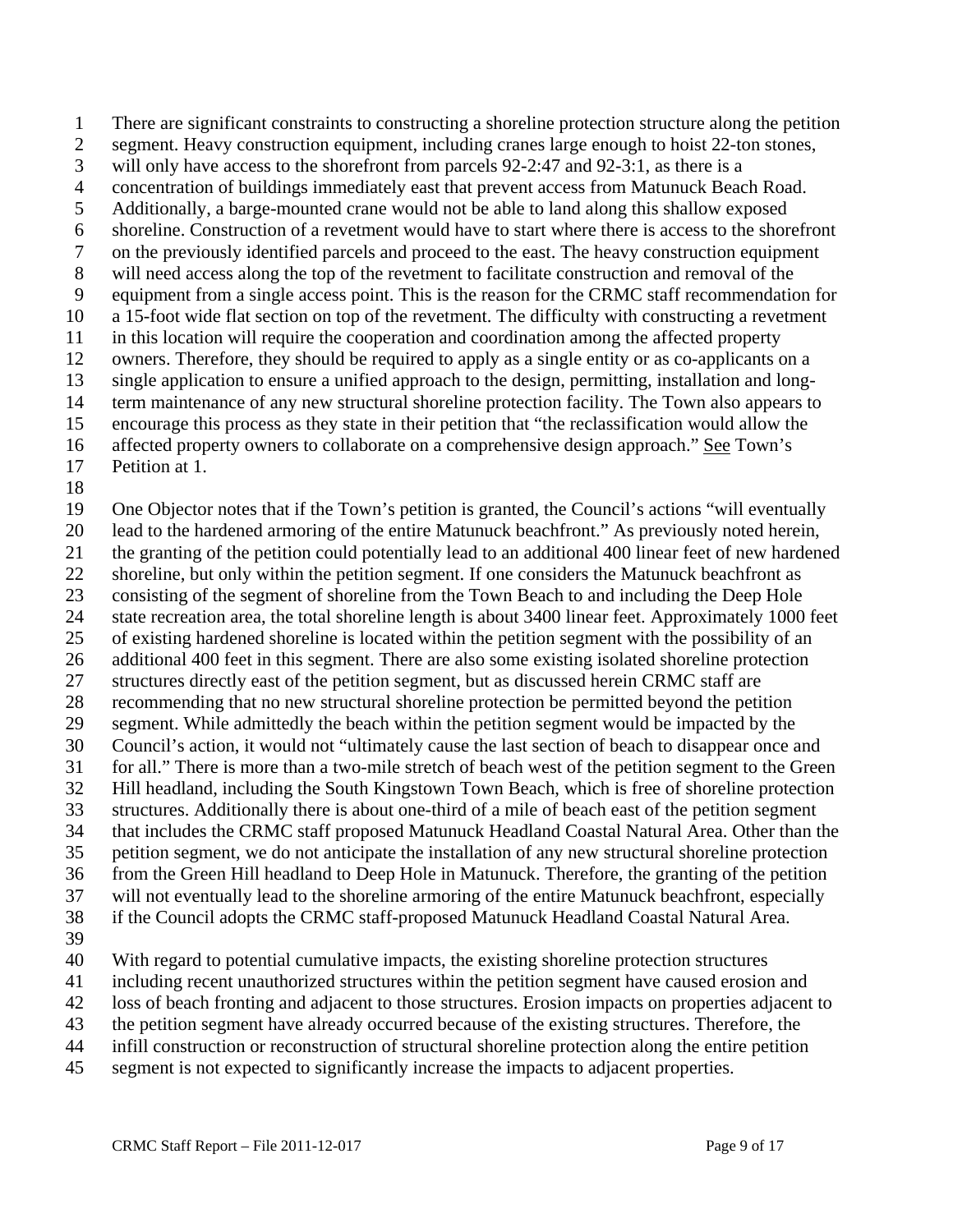1 There are significant constraints to constructing a shoreline protection structure along the petition 2 segment. Heavy construction equipment, including cranes large enough to hoist 22-ton stones, 3 will only have access to the shorefront from parcels 92-2:47 and 92-3:1, as there is a 4 concentration of buildings immediately east that prevent access from Matunuck Beach Road. 5 Additionally, a barge-mounted crane would not be able to land along this shallow exposed 6 shoreline. Construction of a revetment would have to start where there is access to the shorefront 7 on the previously identified parcels and proceed to the east. The heavy construction equipment 8 will need access along the top of the revetment to facilitate construction and removal of the 9 equipment from a single access point. This is the reason for the CRMC staff recommendation for 10 a 15-foot wide flat section on top of the revetment. The difficulty with constructing a revetment 11 in this location will require the cooperation and coordination among the affected property 12 owners. Therefore, they should be required to apply as a single entity or as co-applicants on a 13 single application to ensure a unified approach to the design, permitting, installation and long-14 term maintenance of any new structural shoreline protection facility. The Town also appears to 15 encourage this process as they state in their petition that "the reclassification would allow the 16 affected property owners to collaborate on a comprehensive design approach." See Town's 17 Petition at 1.

18

19 One Objector notes that if the Town's petition is granted, the Council's actions "will eventually

20 lead to the hardened armoring of the entire Matunuck beachfront." As previously noted herein,

21 the granting of the petition could potentially lead to an additional 400 linear feet of new hardened

22 shoreline, but only within the petition segment. If one considers the Matunuck beachfront as 23 consisting of the segment of shoreline from the Town Beach to and including the Deep Hole

24 state recreation area, the total shoreline length is about 3400 linear feet. Approximately 1000 feet

25 of existing hardened shoreline is located within the petition segment with the possibility of an

26 additional 400 feet in this segment. There are also some existing isolated shoreline protection

27 structures directly east of the petition segment, but as discussed herein CRMC staff are

28 recommending that no new structural shoreline protection be permitted beyond the petition

29 segment. While admittedly the beach within the petition segment would be impacted by the 30 Council's action, it would not "ultimately cause the last section of beach to disappear once and

31 for all." There is more than a two-mile stretch of beach west of the petition segment to the Green

32 Hill headland, including the South Kingstown Town Beach, which is free of shoreline protection

33 structures. Additionally there is about one-third of a mile of beach east of the petition segment

34 that includes the CRMC staff proposed Matunuck Headland Coastal Natural Area. Other than the

35 petition segment, we do not anticipate the installation of any new structural shoreline protection 36 from the Green Hill headland to Deep Hole in Matunuck. Therefore, the granting of the petition

37 will not eventually lead to the shoreline armoring of the entire Matunuck beachfront, especially

38 if the Council adopts the CRMC staff-proposed Matunuck Headland Coastal Natural Area.

39

40 With regard to potential cumulative impacts, the existing shoreline protection structures

41 including recent unauthorized structures within the petition segment have caused erosion and

42 loss of beach fronting and adjacent to those structures. Erosion impacts on properties adjacent to

43 the petition segment have already occurred because of the existing structures. Therefore, the

44 infill construction or reconstruction of structural shoreline protection along the entire petition

45 segment is not expected to significantly increase the impacts to adjacent properties.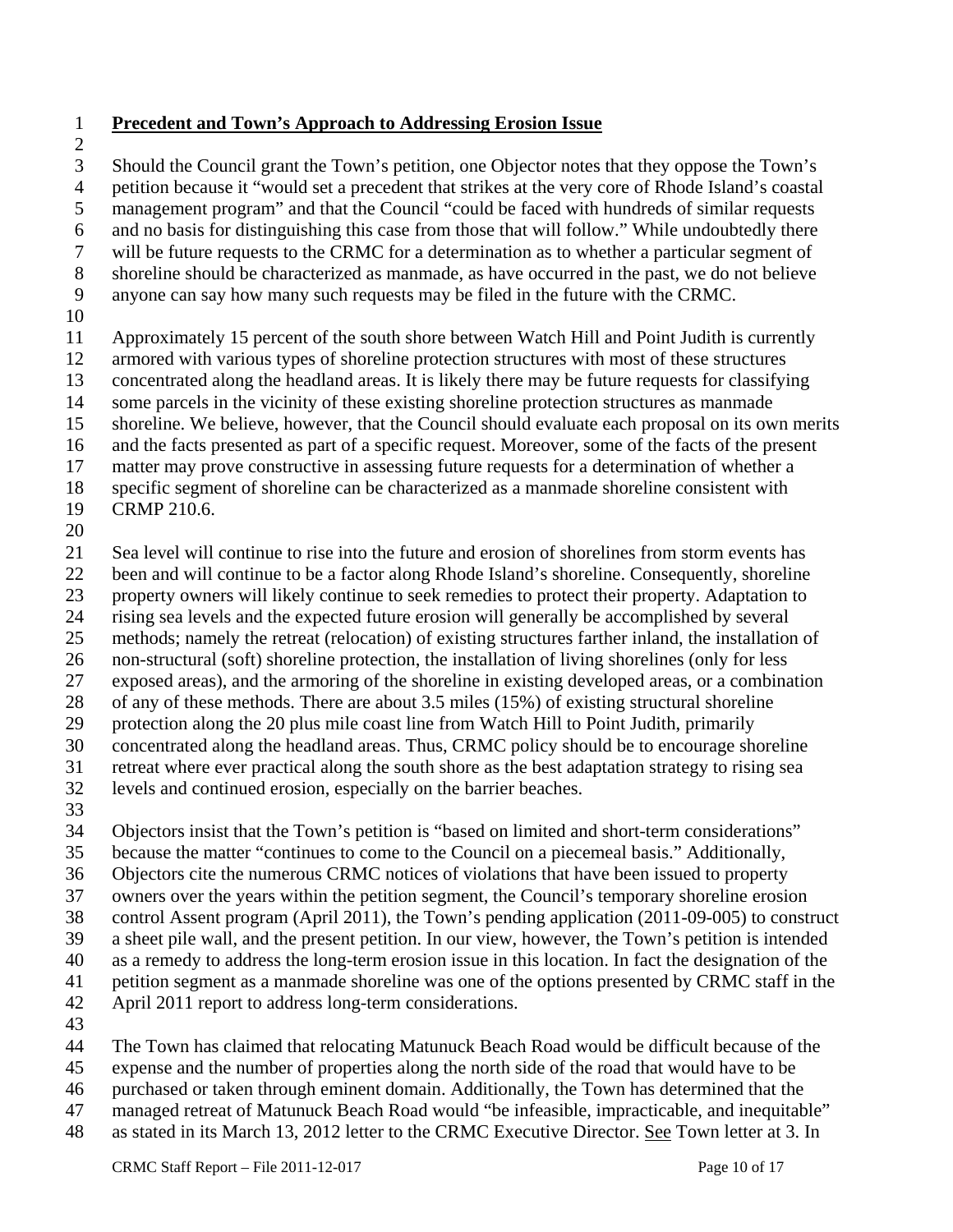- 1 **Precedent and Town's Approach to Addressing Erosion Issue**
- 2

3 Should the Council grant the Town's petition, one Objector notes that they oppose the Town's 4 petition because it "would set a precedent that strikes at the very core of Rhode Island's coastal 5 management program" and that the Council "could be faced with hundreds of similar requests 6 and no basis for distinguishing this case from those that will follow." While undoubtedly there 7 will be future requests to the CRMC for a determination as to whether a particular segment of 8 shoreline should be characterized as manmade, as have occurred in the past, we do not believe

- 9 anyone can say how many such requests may be filed in the future with the CRMC.
- 10

11 Approximately 15 percent of the south shore between Watch Hill and Point Judith is currently

12 armored with various types of shoreline protection structures with most of these structures

13 concentrated along the headland areas. It is likely there may be future requests for classifying 14 some parcels in the vicinity of these existing shoreline protection structures as manmade

15 shoreline. We believe, however, that the Council should evaluate each proposal on its own merits

16 and the facts presented as part of a specific request. Moreover, some of the facts of the present

- 17 matter may prove constructive in assessing future requests for a determination of whether a
- 18 specific segment of shoreline can be characterized as a manmade shoreline consistent with
- 19 CRMP 210.6.
- 20

21 Sea level will continue to rise into the future and erosion of shorelines from storm events has

22 been and will continue to be a factor along Rhode Island's shoreline. Consequently, shoreline

23 property owners will likely continue to seek remedies to protect their property. Adaptation to

24 rising sea levels and the expected future erosion will generally be accomplished by several

- 25 methods; namely the retreat (relocation) of existing structures farther inland, the installation of
- 26 non-structural (soft) shoreline protection, the installation of living shorelines (only for less
- 27 exposed areas), and the armoring of the shoreline in existing developed areas, or a combination
- 28 of any of these methods. There are about 3.5 miles (15%) of existing structural shoreline
- 29 protection along the 20 plus mile coast line from Watch Hill to Point Judith, primarily
- 30 concentrated along the headland areas. Thus, CRMC policy should be to encourage shoreline
- 31 retreat where ever practical along the south shore as the best adaptation strategy to rising sea 32 levels and continued erosion, especially on the barrier beaches.
- 33

34 Objectors insist that the Town's petition is "based on limited and short-term considerations"

35 because the matter "continues to come to the Council on a piecemeal basis." Additionally,

36 Objectors cite the numerous CRMC notices of violations that have been issued to property

37 owners over the years within the petition segment, the Council's temporary shoreline erosion

38 control Assent program (April 2011), the Town's pending application (2011-09-005) to construct

39 a sheet pile wall, and the present petition. In our view, however, the Town's petition is intended

40 as a remedy to address the long-term erosion issue in this location. In fact the designation of the

- 41 petition segment as a manmade shoreline was one of the options presented by CRMC staff in the
- 42 April 2011 report to address long-term considerations.
- 43

44 The Town has claimed that relocating Matunuck Beach Road would be difficult because of the

- 45 expense and the number of properties along the north side of the road that would have to be
- 46 purchased or taken through eminent domain. Additionally, the Town has determined that the
- 47 managed retreat of Matunuck Beach Road would "be infeasible, impracticable, and inequitable"
- 48 as stated in its March 13, 2012 letter to the CRMC Executive Director. See Town letter at 3. In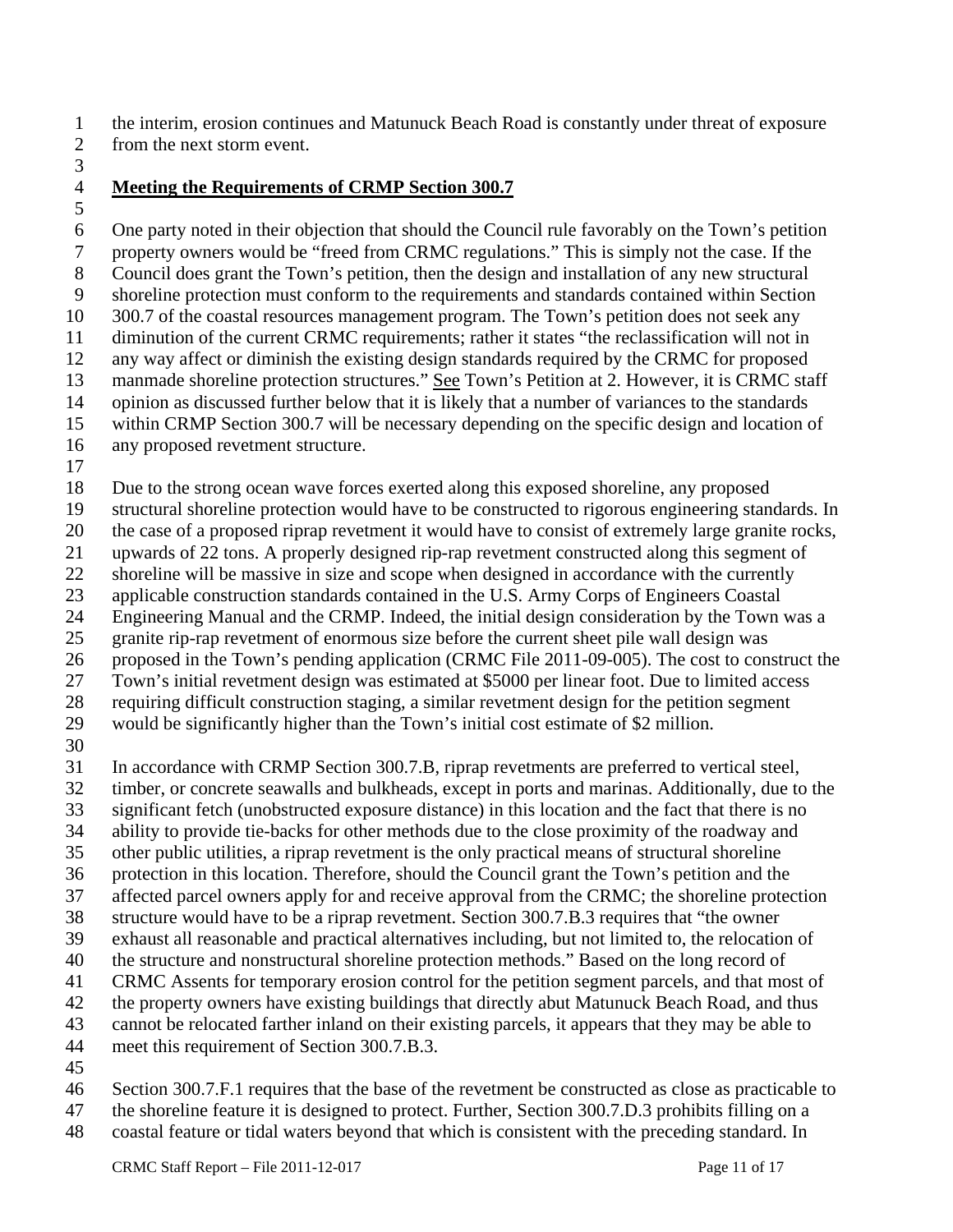1 the interim, erosion continues and Matunuck Beach Road is constantly under threat of exposure 2 from the next storm event.

3

### 4 **Meeting the Requirements of CRMP Section 300.7**

5

6 One party noted in their objection that should the Council rule favorably on the Town's petition 7 property owners would be "freed from CRMC regulations." This is simply not the case. If the 8 Council does grant the Town's petition, then the design and installation of any new structural 9 shoreline protection must conform to the requirements and standards contained within Section 10 300.7 of the coastal resources management program. The Town's petition does not seek any 11 diminution of the current CRMC requirements; rather it states "the reclassification will not in 12 any way affect or diminish the existing design standards required by the CRMC for proposed 13 manmade shoreline protection structures." See Town's Petition at 2. However, it is CRMC staff 14 opinion as discussed further below that it is likely that a number of variances to the standards 15 within CRMP Section 300.7 will be necessary depending on the specific design and location of 16 any proposed revetment structure.

17

18 Due to the strong ocean wave forces exerted along this exposed shoreline, any proposed

19 structural shoreline protection would have to be constructed to rigorous engineering standards. In

20 the case of a proposed riprap revetment it would have to consist of extremely large granite rocks,

21 upwards of 22 tons. A properly designed rip-rap revetment constructed along this segment of

22 shoreline will be massive in size and scope when designed in accordance with the currently

23 applicable construction standards contained in the U.S. Army Corps of Engineers Coastal 24 Engineering Manual and the CRMP. Indeed, the initial design consideration by the Town was a

25 granite rip-rap revetment of enormous size before the current sheet pile wall design was

26 proposed in the Town's pending application (CRMC File 2011-09-005). The cost to construct the

27 Town's initial revetment design was estimated at \$5000 per linear foot. Due to limited access

28 requiring difficult construction staging, a similar revetment design for the petition segment

29 would be significantly higher than the Town's initial cost estimate of \$2 million.

30

31 In accordance with CRMP Section 300.7.B, riprap revetments are preferred to vertical steel,

32 timber, or concrete seawalls and bulkheads, except in ports and marinas. Additionally, due to the

- 33 significant fetch (unobstructed exposure distance) in this location and the fact that there is no
- 34 ability to provide tie-backs for other methods due to the close proximity of the roadway and
- 35 other public utilities, a riprap revetment is the only practical means of structural shoreline

36 protection in this location. Therefore, should the Council grant the Town's petition and the

- 37 affected parcel owners apply for and receive approval from the CRMC; the shoreline protection
- 38 structure would have to be a riprap revetment. Section 300.7.B.3 requires that "the owner
- 39 exhaust all reasonable and practical alternatives including, but not limited to, the relocation of
- 40 the structure and nonstructural shoreline protection methods." Based on the long record of
- 41 CRMC Assents for temporary erosion control for the petition segment parcels, and that most of
- 42 the property owners have existing buildings that directly abut Matunuck Beach Road, and thus
- 43 cannot be relocated farther inland on their existing parcels, it appears that they may be able to
- 44 meet this requirement of Section 300.7.B.3.
- 45

46 Section 300.7.F.1 requires that the base of the revetment be constructed as close as practicable to

- 47 the shoreline feature it is designed to protect. Further, Section 300.7.D.3 prohibits filling on a
- 48 coastal feature or tidal waters beyond that which is consistent with the preceding standard. In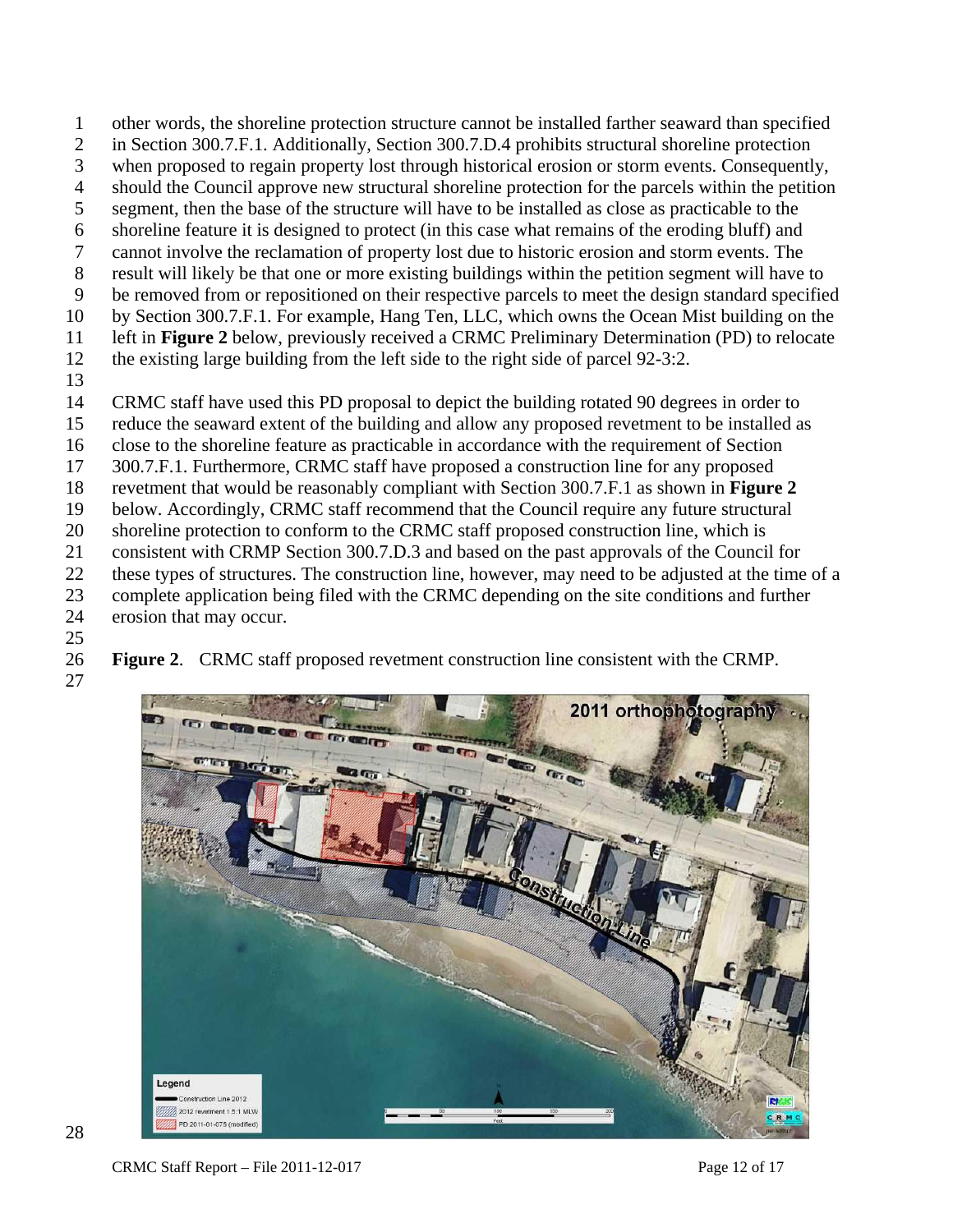- 1 other words, the shoreline protection structure cannot be installed farther seaward than specified
- 2 in Section 300.7.F.1. Additionally, Section 300.7.D.4 prohibits structural shoreline protection
- 3 when proposed to regain property lost through historical erosion or storm events. Consequently,
- 4 should the Council approve new structural shoreline protection for the parcels within the petition
- 5 segment, then the base of the structure will have to be installed as close as practicable to the
- 6 shoreline feature it is designed to protect (in this case what remains of the eroding bluff) and
- 7 cannot involve the reclamation of property lost due to historic erosion and storm events. The 8 result will likely be that one or more existing buildings within the petition segment will have to
- 9 be removed from or repositioned on their respective parcels to meet the design standard specified
- 10 by Section 300.7.F.1. For example, Hang Ten, LLC, which owns the Ocean Mist building on the
- 11 left in **Figure 2** below, previously received a CRMC Preliminary Determination (PD) to relocate
- 12 the existing large building from the left side to the right side of parcel 92-3:2.
- 13
- 14 CRMC staff have used this PD proposal to depict the building rotated 90 degrees in order to
- 15 reduce the seaward extent of the building and allow any proposed revetment to be installed as
- 16 close to the shoreline feature as practicable in accordance with the requirement of Section
- 17 300.7.F.1. Furthermore, CRMC staff have proposed a construction line for any proposed
- 18 revetment that would be reasonably compliant with Section 300.7.F.1 as shown in **Figure 2**
- 19 below. Accordingly, CRMC staff recommend that the Council require any future structural
- 20 shoreline protection to conform to the CRMC staff proposed construction line, which is
- 21 consistent with CRMP Section 300.7.D.3 and based on the past approvals of the Council for
- 22 these types of structures. The construction line, however, may need to be adjusted at the time of a
- 23 complete application being filed with the CRMC depending on the site conditions and further
- 24 erosion that may occur.
- 25

26 **Figure 2**. CRMC staff proposed revetment construction line consistent with the CRMP.

27



CRMC Staff Report – File 2011-12-017 Page 12 of 17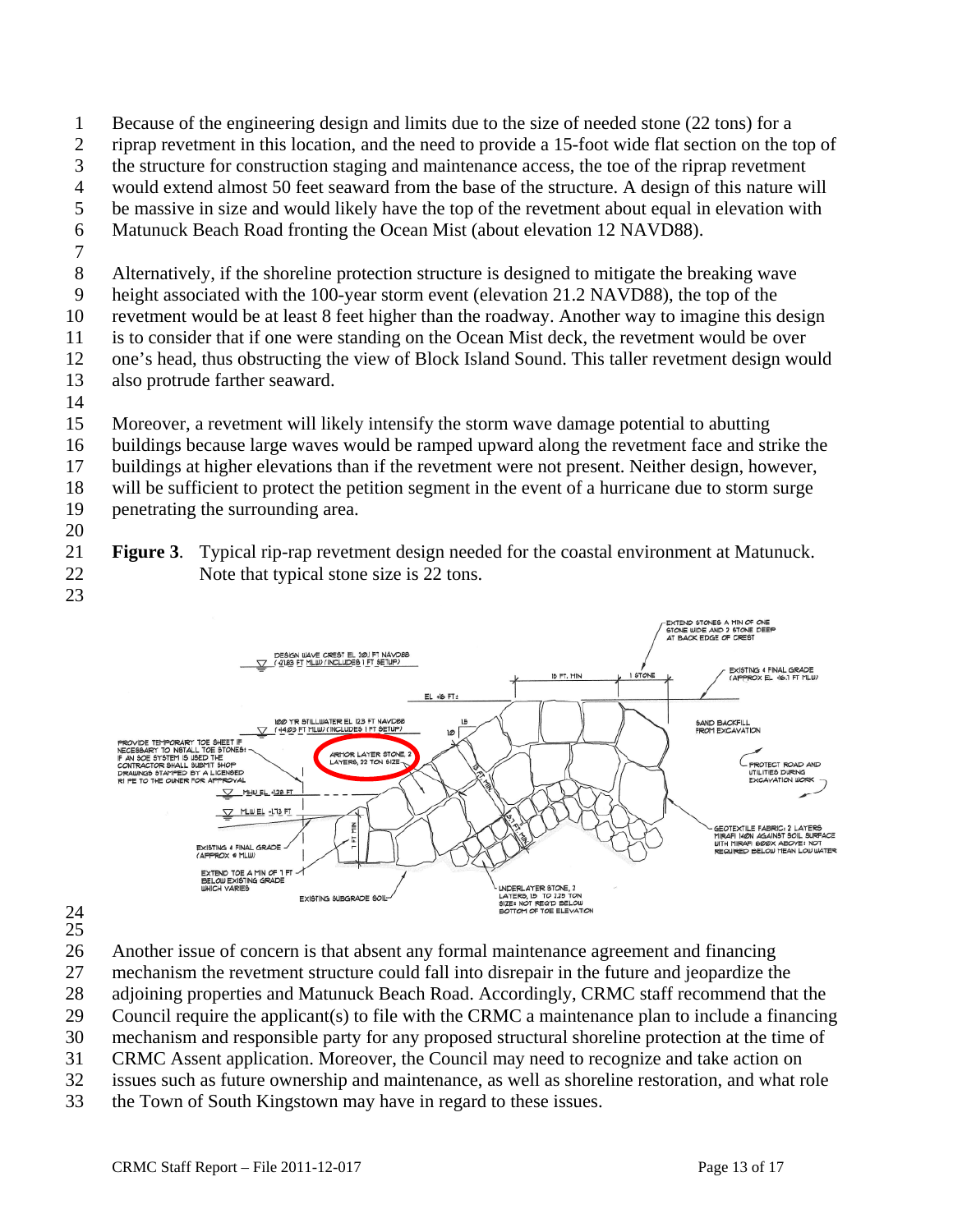- 1 Because of the engineering design and limits due to the size of needed stone (22 tons) for a
- 2 riprap revetment in this location, and the need to provide a 15-foot wide flat section on the top of
- 3 the structure for construction staging and maintenance access, the toe of the riprap revetment
- 4 would extend almost 50 feet seaward from the base of the structure. A design of this nature will
- 5 be massive in size and would likely have the top of the revetment about equal in elevation with
- 6 Matunuck Beach Road fronting the Ocean Mist (about elevation 12 NAVD88).
- 7
- 8 Alternatively, if the shoreline protection structure is designed to mitigate the breaking wave
- 9 height associated with the 100-year storm event (elevation 21.2 NAVD88), the top of the
- 10 revetment would be at least 8 feet higher than the roadway. Another way to imagine this design
- 11 is to consider that if one were standing on the Ocean Mist deck, the revetment would be over
- 12 one's head, thus obstructing the view of Block Island Sound. This taller revetment design would
- 13 also protrude farther seaward.
- 14
- 15 Moreover, a revetment will likely intensify the storm wave damage potential to abutting
- 16 buildings because large waves would be ramped upward along the revetment face and strike the
- 17 buildings at higher elevations than if the revetment were not present. Neither design, however,
- 18 will be sufficient to protect the petition segment in the event of a hurricane due to storm surge
- 19 penetrating the surrounding area. 20
- 21 **Figure 3**. Typical rip-rap revetment design needed for the coastal environment at Matunuck. 22 Note that typical stone size is 22 tons.
- 23



- 24 25
- 26 Another issue of concern is that absent any formal maintenance agreement and financing
- 27 mechanism the revetment structure could fall into disrepair in the future and jeopardize the
- 28 adjoining properties and Matunuck Beach Road. Accordingly, CRMC staff recommend that the
- 29 Council require the applicant(s) to file with the CRMC a maintenance plan to include a financing
- 30 mechanism and responsible party for any proposed structural shoreline protection at the time of
- 31 CRMC Assent application. Moreover, the Council may need to recognize and take action on
- 32 issues such as future ownership and maintenance, as well as shoreline restoration, and what role
- 33 the Town of South Kingstown may have in regard to these issues.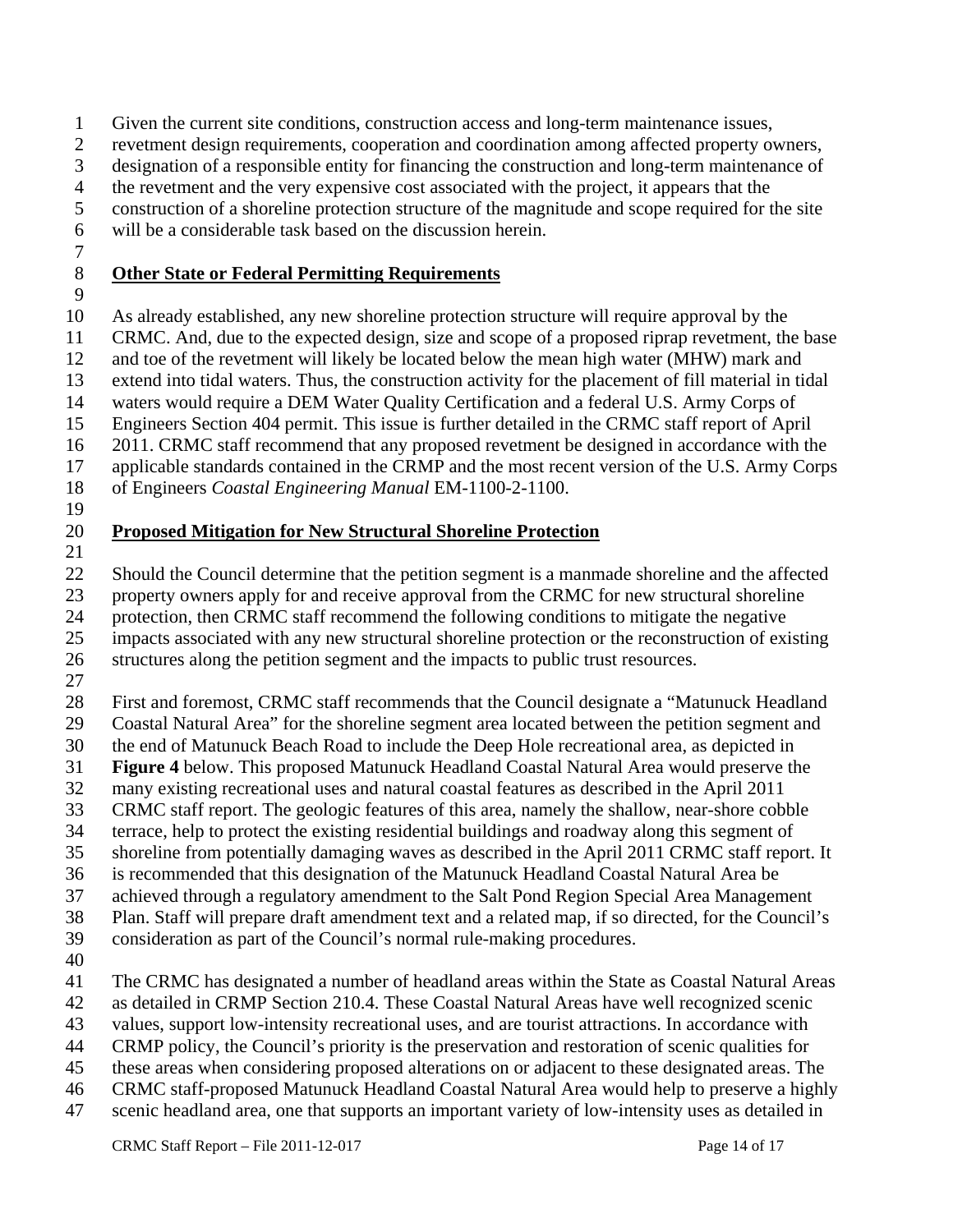1 Given the current site conditions, construction access and long-term maintenance issues,

2 revetment design requirements, cooperation and coordination among affected property owners,

3 designation of a responsible entity for financing the construction and long-term maintenance of

4 the revetment and the very expensive cost associated with the project, it appears that the

5 construction of a shoreline protection structure of the magnitude and scope required for the site

6 will be a considerable task based on the discussion herein.

7

# 8 **Other State or Federal Permitting Requirements**

9

10 As already established, any new shoreline protection structure will require approval by the

11 CRMC. And, due to the expected design, size and scope of a proposed riprap revetment, the base

12 and toe of the revetment will likely be located below the mean high water (MHW) mark and

13 extend into tidal waters. Thus, the construction activity for the placement of fill material in tidal

14 waters would require a DEM Water Quality Certification and a federal U.S. Army Corps of

15 Engineers Section 404 permit. This issue is further detailed in the CRMC staff report of April

16 2011. CRMC staff recommend that any proposed revetment be designed in accordance with the

17 applicable standards contained in the CRMP and the most recent version of the U.S. Army Corps

18 of Engineers *Coastal Engineering Manual* EM-1100-2-1100.

19

# 20 **Proposed Mitigation for New Structural Shoreline Protection**

21

22 Should the Council determine that the petition segment is a manmade shoreline and the affected 23 property owners apply for and receive approval from the CRMC for new structural shoreline 24 protection, then CRMC staff recommend the following conditions to mitigate the negative

25 impacts associated with any new structural shoreline protection or the reconstruction of existing

26 structures along the petition segment and the impacts to public trust resources.

27

28 First and foremost, CRMC staff recommends that the Council designate a "Matunuck Headland

29 Coastal Natural Area" for the shoreline segment area located between the petition segment and 30 the end of Matunuck Beach Road to include the Deep Hole recreational area, as depicted in

31 **Figure 4** below. This proposed Matunuck Headland Coastal Natural Area would preserve the

32 many existing recreational uses and natural coastal features as described in the April 2011

33 CRMC staff report. The geologic features of this area, namely the shallow, near-shore cobble

34 terrace, help to protect the existing residential buildings and roadway along this segment of

35 shoreline from potentially damaging waves as described in the April 2011 CRMC staff report. It

36 is recommended that this designation of the Matunuck Headland Coastal Natural Area be

37 achieved through a regulatory amendment to the Salt Pond Region Special Area Management

38 Plan. Staff will prepare draft amendment text and a related map, if so directed, for the Council's

39 consideration as part of the Council's normal rule-making procedures.

40

41 The CRMC has designated a number of headland areas within the State as Coastal Natural Areas

42 as detailed in CRMP Section 210.4. These Coastal Natural Areas have well recognized scenic

43 values, support low-intensity recreational uses, and are tourist attractions. In accordance with

- 44 CRMP policy, the Council's priority is the preservation and restoration of scenic qualities for
- 45 these areas when considering proposed alterations on or adjacent to these designated areas. The
- 46 CRMC staff-proposed Matunuck Headland Coastal Natural Area would help to preserve a highly
- 47 scenic headland area, one that supports an important variety of low-intensity uses as detailed in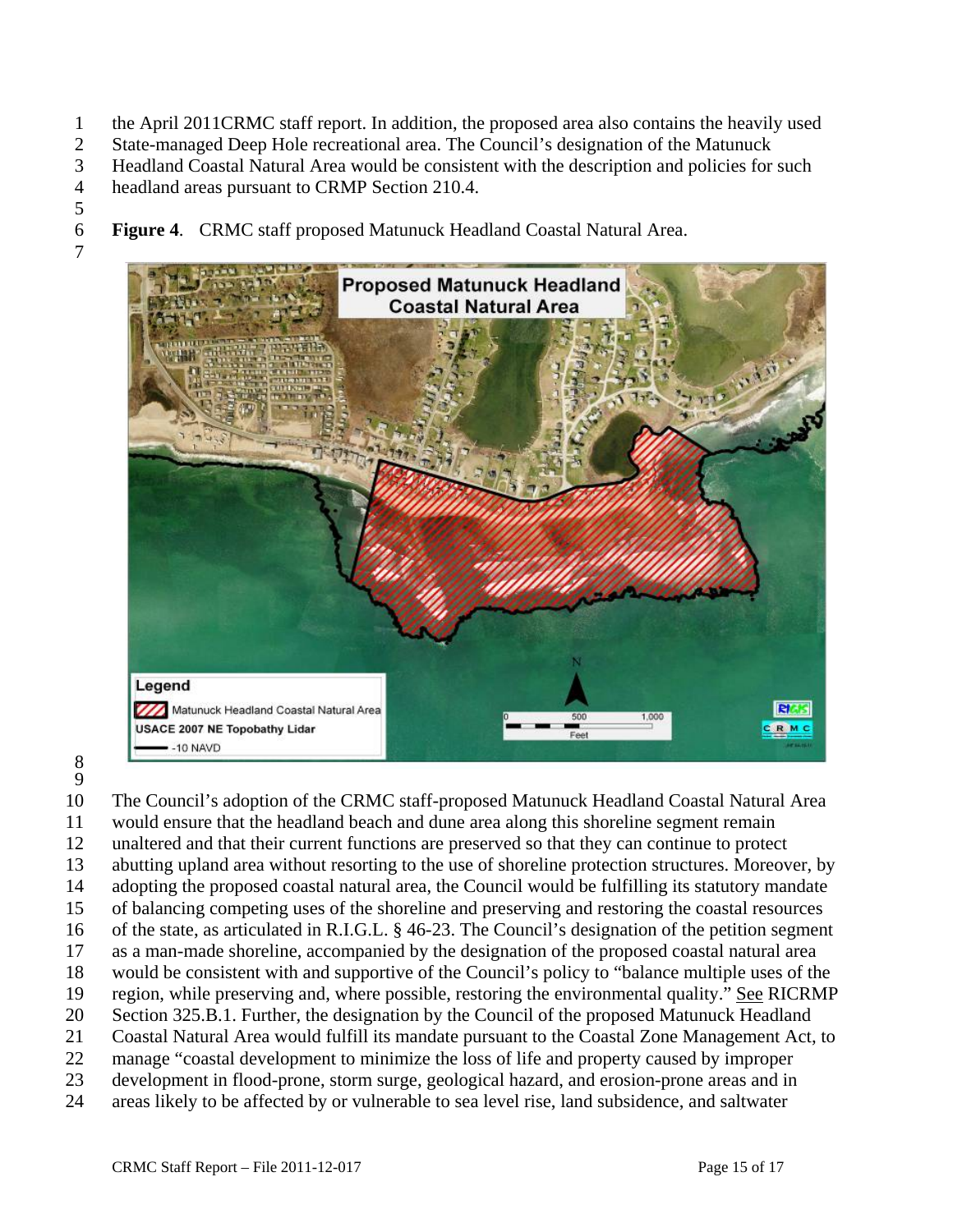- 1 the April 2011CRMC staff report. In addition, the proposed area also contains the heavily used
- 2 State-managed Deep Hole recreational area. The Council's designation of the Matunuck
- 3 Headland Coastal Natural Area would be consistent with the description and policies for such
- 4 headland areas pursuant to CRMP Section 210.4.
- 5

7

- 6 **Figure 4**. CRMC staff proposed Matunuck Headland Coastal Natural Area.
	- **Proposed Matunuck Headland Coastal Natural Area** Legend **RIGIS** Matunuck Headland Coastal Natural Area 1.000 **USACE 2007 NE Topobathy Lidar** CRMC  $-10$  NAVD
- 8 9

10 The Council's adoption of the CRMC staff-proposed Matunuck Headland Coastal Natural Area 11 would ensure that the headland beach and dune area along this shoreline segment remain 12 unaltered and that their current functions are preserved so that they can continue to protect 13 abutting upland area without resorting to the use of shoreline protection structures. Moreover, by 14 adopting the proposed coastal natural area, the Council would be fulfilling its statutory mandate 15 of balancing competing uses of the shoreline and preserving and restoring the coastal resources 16 of the state, as articulated in R.I.G.L. § 46-23. The Council's designation of the petition segment 17 as a man-made shoreline, accompanied by the designation of the proposed coastal natural area 18 would be consistent with and supportive of the Council's policy to "balance multiple uses of the 19 region, while preserving and, where possible, restoring the environmental quality." See RICRMP 20 Section 325.B.1. Further, the designation by the Council of the proposed Matunuck Headland 21 Coastal Natural Area would fulfill its mandate pursuant to the Coastal Zone Management Act, to 22 manage "coastal development to minimize the loss of life and property caused by improper 23 development in flood-prone, storm surge, geological hazard, and erosion-prone areas and in 24 areas likely to be affected by or vulnerable to sea level rise, land subsidence, and saltwater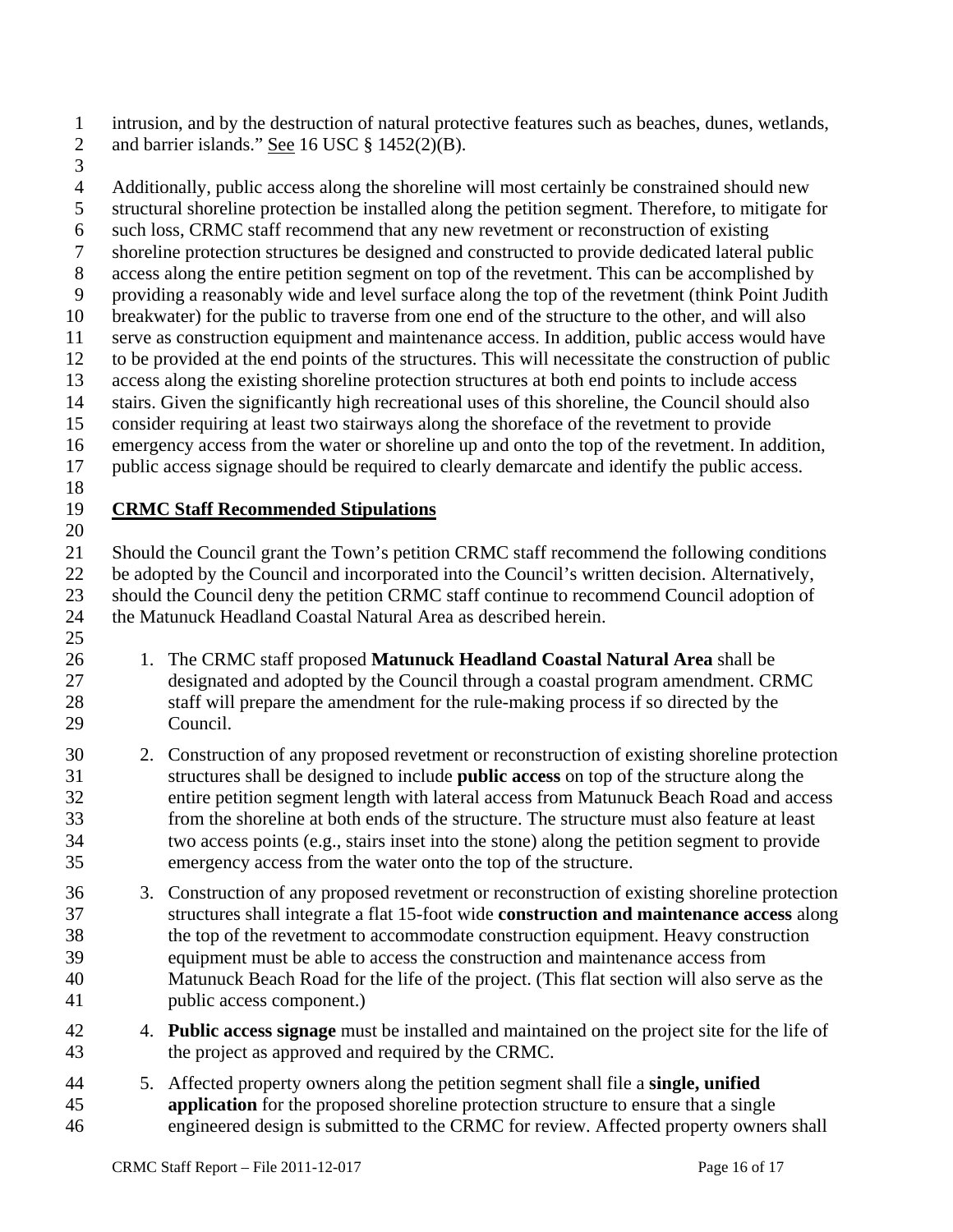1 intrusion, and by the destruction of natural protective features such as beaches, dunes, wetlands, 2 and barrier islands." See 16 USC § 1452(2)(B).

3

4 Additionally, public access along the shoreline will most certainly be constrained should new 5 structural shoreline protection be installed along the petition segment. Therefore, to mitigate for 6 such loss, CRMC staff recommend that any new revetment or reconstruction of existing 7 shoreline protection structures be designed and constructed to provide dedicated lateral public 8 access along the entire petition segment on top of the revetment. This can be accomplished by 9 providing a reasonably wide and level surface along the top of the revetment (think Point Judith 10 breakwater) for the public to traverse from one end of the structure to the other, and will also 11 serve as construction equipment and maintenance access. In addition, public access would have 12 to be provided at the end points of the structures. This will necessitate the construction of public 13 access along the existing shoreline protection structures at both end points to include access 14 stairs. Given the significantly high recreational uses of this shoreline, the Council should also 15 consider requiring at least two stairways along the shoreface of the revetment to provide 16 emergency access from the water or shoreline up and onto the top of the revetment. In addition, 17 public access signage should be required to clearly demarcate and identify the public access. 18 19 **CRMC Staff Recommended Stipulations** 20 21 Should the Council grant the Town's petition CRMC staff recommend the following conditions 22 be adopted by the Council and incorporated into the Council's written decision. Alternatively, 23 should the Council deny the petition CRMC staff continue to recommend Council adoption of 24 the Matunuck Headland Coastal Natural Area as described herein. 25 26 1. The CRMC staff proposed **Matunuck Headland Coastal Natural Area** shall be 27 designated and adopted by the Council through a coastal program amendment. CRMC 28 staff will prepare the amendment for the rule-making process if so directed by the 29 Council. 30 2. Construction of any proposed revetment or reconstruction of existing shoreline protection 31 structures shall be designed to include **public access** on top of the structure along the 32 entire petition segment length with lateral access from Matunuck Beach Road and access 33 from the shoreline at both ends of the structure. The structure must also feature at least 34 two access points (e.g., stairs inset into the stone) along the petition segment to provide 35 emergency access from the water onto the top of the structure. 36 3. Construction of any proposed revetment or reconstruction of existing shoreline protection 37 structures shall integrate a flat 15-foot wide **construction and maintenance access** along 38 the top of the revetment to accommodate construction equipment. Heavy construction 39 equipment must be able to access the construction and maintenance access from 40 Matunuck Beach Road for the life of the project. (This flat section will also serve as the 41 public access component.)

- 42 4. **Public access signage** must be installed and maintained on the project site for the life of 43 the project as approved and required by the CRMC.
- 44 5. Affected property owners along the petition segment shall file a **single, unified**  45 **application** for the proposed shoreline protection structure to ensure that a single 46 engineered design is submitted to the CRMC for review. Affected property owners shall